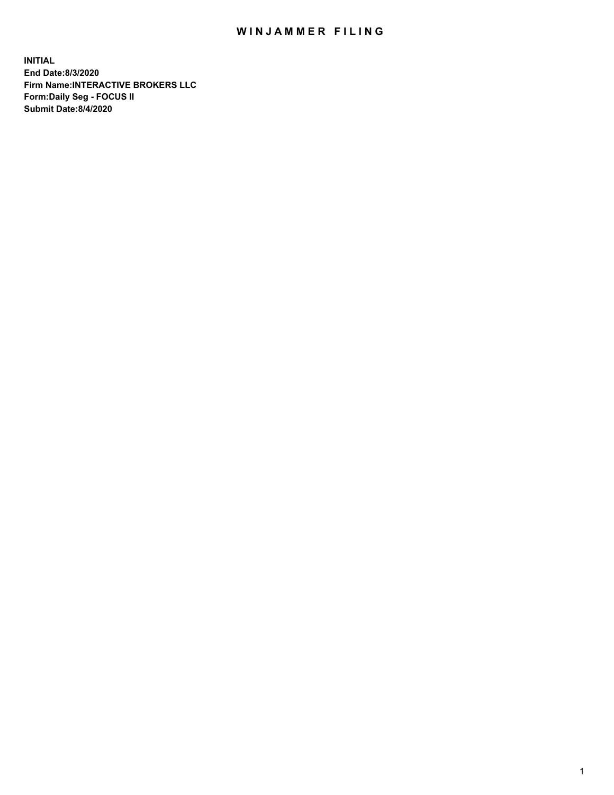## WIN JAMMER FILING

**INITIAL End Date:8/3/2020 Firm Name:INTERACTIVE BROKERS LLC Form:Daily Seg - FOCUS II Submit Date:8/4/2020**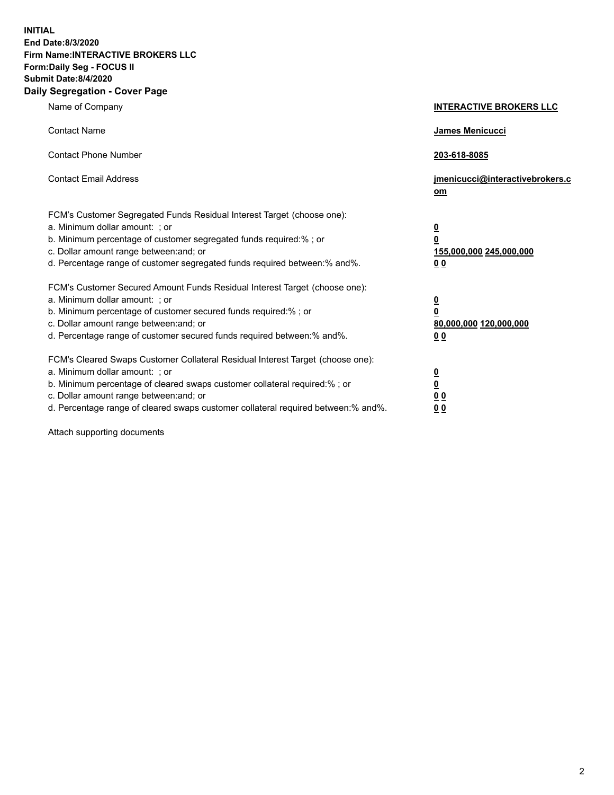**INITIAL End Date:8/3/2020 Firm Name:INTERACTIVE BROKERS LLC Form:Daily Seg - FOCUS II Submit Date:8/4/2020 Daily Segregation - Cover Page**

| Name of Company                                                                                                                                                                                                                                                                                                                | <b>INTERACTIVE BROKERS LLC</b>                                                                  |
|--------------------------------------------------------------------------------------------------------------------------------------------------------------------------------------------------------------------------------------------------------------------------------------------------------------------------------|-------------------------------------------------------------------------------------------------|
| <b>Contact Name</b>                                                                                                                                                                                                                                                                                                            | James Menicucci                                                                                 |
| <b>Contact Phone Number</b>                                                                                                                                                                                                                                                                                                    | 203-618-8085                                                                                    |
| <b>Contact Email Address</b>                                                                                                                                                                                                                                                                                                   | jmenicucci@interactivebrokers.c<br>om                                                           |
| FCM's Customer Segregated Funds Residual Interest Target (choose one):<br>a. Minimum dollar amount: : or<br>b. Minimum percentage of customer segregated funds required:% ; or<br>c. Dollar amount range between: and; or<br>d. Percentage range of customer segregated funds required between:% and%.                         | $\overline{\mathbf{0}}$<br>$\overline{\mathbf{0}}$<br>155,000,000 245,000,000<br>0 <sub>0</sub> |
| FCM's Customer Secured Amount Funds Residual Interest Target (choose one):<br>a. Minimum dollar amount: ; or<br>b. Minimum percentage of customer secured funds required:% ; or<br>c. Dollar amount range between: and; or<br>d. Percentage range of customer secured funds required between:% and%.                           | $\frac{0}{0}$<br>80,000,000 120,000,000<br>00                                                   |
| FCM's Cleared Swaps Customer Collateral Residual Interest Target (choose one):<br>a. Minimum dollar amount: ; or<br>b. Minimum percentage of cleared swaps customer collateral required:% ; or<br>c. Dollar amount range between: and; or<br>d. Percentage range of cleared swaps customer collateral required between:% and%. | $\overline{\mathbf{0}}$<br>$\underline{\mathbf{0}}$<br>0 <sub>0</sub><br>0 <sub>0</sub>         |

Attach supporting documents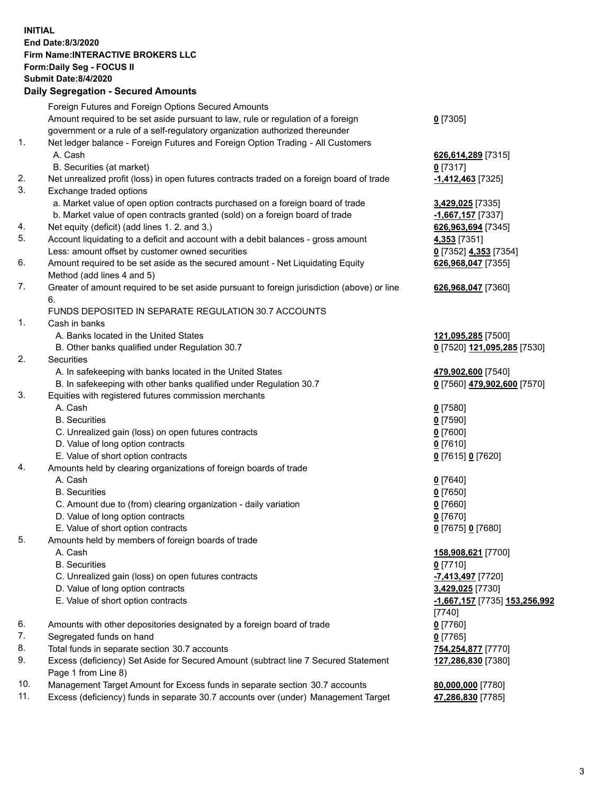## **INITIAL End Date:8/3/2020 Firm Name:INTERACTIVE BROKERS LLC Form:Daily Seg - FOCUS II Submit Date:8/4/2020 Daily Segregation - Secured Amounts**

|     | Daily Segregation - Secured Amounts                                                         |                               |
|-----|---------------------------------------------------------------------------------------------|-------------------------------|
|     | Foreign Futures and Foreign Options Secured Amounts                                         |                               |
|     | Amount required to be set aside pursuant to law, rule or regulation of a foreign            | $0$ [7305]                    |
|     | government or a rule of a self-regulatory organization authorized thereunder                |                               |
| 1.  | Net ledger balance - Foreign Futures and Foreign Option Trading - All Customers             |                               |
|     | A. Cash                                                                                     | 626,614,289 [7315]            |
|     | B. Securities (at market)                                                                   | $0$ [7317]                    |
| 2.  | Net unrealized profit (loss) in open futures contracts traded on a foreign board of trade   | -1,412,463 <sup>[7325]</sup>  |
| 3.  | Exchange traded options                                                                     |                               |
|     | a. Market value of open option contracts purchased on a foreign board of trade              | 3,429,025 [7335]              |
|     | b. Market value of open contracts granted (sold) on a foreign board of trade                | $-1,667,157$ [7337]           |
| 4.  | Net equity (deficit) (add lines 1. 2. and 3.)                                               | 626,963,694 [7345]            |
| 5.  | Account liquidating to a deficit and account with a debit balances - gross amount           | 4,353 [7351]                  |
|     | Less: amount offset by customer owned securities                                            | 0 [7352] 4,353 [7354]         |
| 6.  | Amount required to be set aside as the secured amount - Net Liquidating Equity              | 626,968,047 [7355]            |
|     | Method (add lines 4 and 5)                                                                  |                               |
| 7.  | Greater of amount required to be set aside pursuant to foreign jurisdiction (above) or line | 626,968,047 [7360]            |
|     | 6.                                                                                          |                               |
|     | FUNDS DEPOSITED IN SEPARATE REGULATION 30.7 ACCOUNTS                                        |                               |
| 1.  | Cash in banks                                                                               |                               |
|     | A. Banks located in the United States                                                       | 121,095,285 [7500]            |
|     | B. Other banks qualified under Regulation 30.7                                              | 0 [7520] 121,095,285 [7530]   |
| 2.  | Securities                                                                                  |                               |
|     | A. In safekeeping with banks located in the United States                                   | 479,902,600 [7540]            |
|     | B. In safekeeping with other banks qualified under Regulation 30.7                          | 0 [7560] 479,902,600 [7570]   |
| 3.  | Equities with registered futures commission merchants                                       |                               |
|     | A. Cash                                                                                     | $0$ [7580]                    |
|     | <b>B.</b> Securities                                                                        | $0$ [7590]                    |
|     | C. Unrealized gain (loss) on open futures contracts                                         | $0$ [7600]                    |
|     | D. Value of long option contracts                                                           | $0$ [7610]                    |
|     | E. Value of short option contracts                                                          | 0 [7615] 0 [7620]             |
| 4.  | Amounts held by clearing organizations of foreign boards of trade                           |                               |
|     | A. Cash                                                                                     | $0$ [7640]                    |
|     | <b>B.</b> Securities                                                                        | $0$ [7650]                    |
|     | C. Amount due to (from) clearing organization - daily variation                             | $0$ [7660]                    |
|     | D. Value of long option contracts                                                           | $0$ [7670]                    |
|     | E. Value of short option contracts                                                          | 0 [7675] 0 [7680]             |
| 5.  | Amounts held by members of foreign boards of trade                                          |                               |
|     | A. Cash                                                                                     | 158,908,621 [7700]            |
|     | <b>B.</b> Securities                                                                        | $0$ [7710]                    |
|     | C. Unrealized gain (loss) on open futures contracts                                         | -7,413,497 [7720]             |
|     | D. Value of long option contracts                                                           | 3,429,025 [7730]              |
|     | E. Value of short option contracts                                                          | -1,667,157 [7735] 153,256,992 |
|     |                                                                                             | [7740]                        |
| 6.  | Amounts with other depositories designated by a foreign board of trade                      | $0$ [7760]                    |
| 7.  | Segregated funds on hand                                                                    | $0$ [7765]                    |
| 8.  | Total funds in separate section 30.7 accounts                                               | 754,254,877 [7770]            |
| 9.  | Excess (deficiency) Set Aside for Secured Amount (subtract line 7 Secured Statement         | 127,286,830 [7380]            |
|     | Page 1 from Line 8)                                                                         |                               |
| 10. | Management Target Amount for Excess funds in separate section 30.7 accounts                 | 80,000,000 [7780]             |
| 11. | Excess (deficiency) funds in separate 30.7 accounts over (under) Management Target          | 47,286,830 [7785]             |
|     |                                                                                             |                               |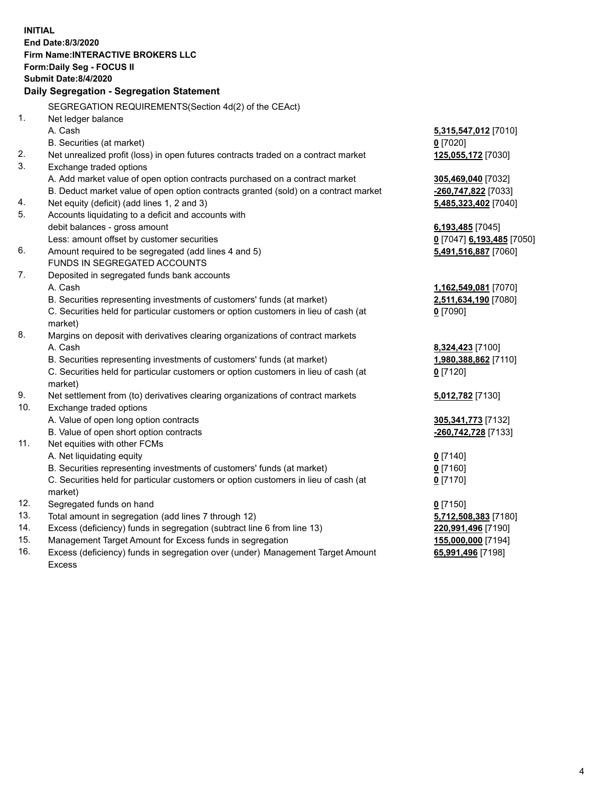**INITIAL End Date:8/3/2020 Firm Name:INTERACTIVE BROKERS LLC Form:Daily Seg - FOCUS II Submit Date:8/4/2020 Daily Segregation - Segregation Statement** SEGREGATION REQUIREMENTS(Section 4d(2) of the CEAct) 1. Net ledger balance A. Cash **5,315,547,012** [7010] B. Securities (at market) **0** [7020] 2. Net unrealized profit (loss) in open futures contracts traded on a contract market **125,055,172** [7030] 3. Exchange traded options A. Add market value of open option contracts purchased on a contract market **305,469,040** [7032] B. Deduct market value of open option contracts granted (sold) on a contract market **-260,747,822** [7033] 4. Net equity (deficit) (add lines 1, 2 and 3) **5,485,323,402** [7040] 5. Accounts liquidating to a deficit and accounts with debit balances - gross amount **6,193,485** [7045] Less: amount offset by customer securities **0** [7047] **6,193,485** [7050] 6. Amount required to be segregated (add lines 4 and 5) **5,491,516,887** [7060] FUNDS IN SEGREGATED ACCOUNTS 7. Deposited in segregated funds bank accounts A. Cash **1,162,549,081** [7070] B. Securities representing investments of customers' funds (at market) **2,511,634,190** [7080] C. Securities held for particular customers or option customers in lieu of cash (at market) **0** [7090] 8. Margins on deposit with derivatives clearing organizations of contract markets A. Cash **8,324,423** [7100] B. Securities representing investments of customers' funds (at market) **1,980,388,862** [7110] C. Securities held for particular customers or option customers in lieu of cash (at market) **0** [7120] 9. Net settlement from (to) derivatives clearing organizations of contract markets **5,012,782** [7130] 10. Exchange traded options A. Value of open long option contracts **305,341,773** [7132] B. Value of open short option contracts **-260,742,728** [7133] 11. Net equities with other FCMs A. Net liquidating equity **0** [7140] B. Securities representing investments of customers' funds (at market) **0** [7160] C. Securities held for particular customers or option customers in lieu of cash (at market) **0** [7170] 12. Segregated funds on hand **0** [7150] 13. Total amount in segregation (add lines 7 through 12) **5,712,508,383** [7180] 14. Excess (deficiency) funds in segregation (subtract line 6 from line 13) **220,991,496** [7190] 15. Management Target Amount for Excess funds in segregation **155,000,000** [7194] **65,991,496** [7198]

16. Excess (deficiency) funds in segregation over (under) Management Target Amount Excess